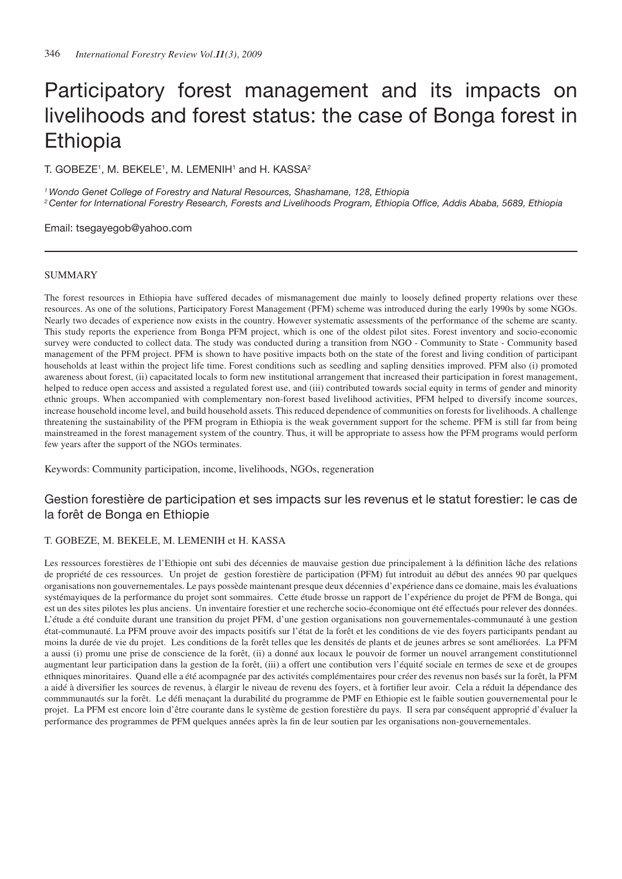# Participatory forest management and its impacts on livelihoods and forest status: the case of Bonga forest in Ethiopia

T. GOBEZE<sup>1</sup>, M. BEKELE<sup>1</sup>, M. LEMENIH<sup>1</sup> and H. KASSA<sup>2</sup>

*1 Wondo Genet College of Forestry and Natural Resources, Shashamane, 128, Ethiopia 2 Center for International Forestry Research, Forests and Livelihoods Program, Ethiopia Office, Addis Ababa, 5689, Ethiopia*

Email: tsegayegob@yahoo.com

# SUMMARY

The forest resources in Ethiopia have suffered decades of mismanagement due mainly to loosely defined property relations over these resources. As one of the solutions, Participatory Forest Management (PFM) scheme was introduced during the early 1990s by some NGOs. Nearly two decades of experience now exists in the country. However systematic assessments of the performance of the scheme are scanty. This study reports the experience from Bonga PFM project, which is one of the oldest pilot sites. Forest inventory and socio-economic survey were conducted to collect data. The study was conducted during a transition from NGO - Community to State - Community based management of the PFM project. PFM is shown to have positive impacts both on the state of the forest and living condition of participant households at least within the project life time. Forest conditions such as seedling and sapling densities improved. PFM also (i) promoted awareness about forest, (ii) capacitated locals to form new institutional arrangement that increased their participation in forest management, helped to reduce open access and assisted a regulated forest use, and (iii) contributed towards social equity in terms of gender and minority ethnic groups. When accompanied with complementary non-forest based livelihood activities, PFM helped to diversify income sources, increase household income level, and build household assets. This reduced dependence of communities on forests for livelihoods. A challenge threatening the sustainability of the PFM program in Ethiopia is the weak government support for the scheme. PFM is still far from being mainstreamed in the forest management system of the country. Thus, it will be appropriate to assess how the PFM programs would perform few years after the support of the NGOs terminates.

Keywords: Community participation, income, livelihoods, NGOs, regeneration

# Gestion forestière de participation et ses impacts sur les revenus et le statut forestier: le cas de la forêt de Bonga en Ethiopie

# T. Gobeze, M. Bekele, M. Lemenih et H. Kassa

Les ressources forestières de l'Ethiopie ont subi des décennies de mauvaise gestion due principalement à la définition lâche des relations de propriété de ces ressources. Un projet de gestion forestière de participation (PFM) fut introduit au début des années 90 par quelques organisations non gouvernementales. Le pays possède maintenant presque deux décennies d'expérience dans ce domaine, mais les évaluations systémayiques de la performance du projet sont sommaires. Cette étude brosse un rapport de l'expérience du projet de PFM de Bonga, qui est un des sites pilotes les plus anciens. Un inventaire forestier et une recherche socio-économique ont été effectués pour relever des données. L'étude a été conduite durant une transition du projet PFM, d'une gestion organisations non gouvernementales-communauté à une gestion état-communauté. La PFM prouve avoir des impacts positifs sur l'état de la forêt et les conditions de vie des foyers participants pendant au moins la durée de vie du projet. Les conditions de la forêt telles que les densités de plants et de jeunes arbres se sont améliorées. La PFM a aussi (i) promu une prise de conscience de la forêt, (ii) a donné aux locaux le pouvoir de former un nouvel arrangement constitutionnel augmentant leur participation dans la gestion de la forêt, (iii) a offert une contibution vers l'équité sociale en termes de sexe et de groupes ethniques minoritaires. Quand elle a été acompagnée par des activités complémentaires pour créer des revenus non basés sur la forêt, la PFM a aidé à diversifier les sources de revenus, à élargir le niveau de revenu des foyers, et à fortifier leur avoir. Cela a réduit la dépendance des commmunautés sur la forêt. Le défi menaçant la durabilité du programme de PMF en Ethiopie est le faible soutien gouvernemental pour le projet. La PFM est encore loin d'être courante dans le système de gestion forestière du pays. Il sera par conséquent approprié d'évaluer la performance des programmes de PFM quelques années après la fin de leur soutien par les organisations non-gouvernementales.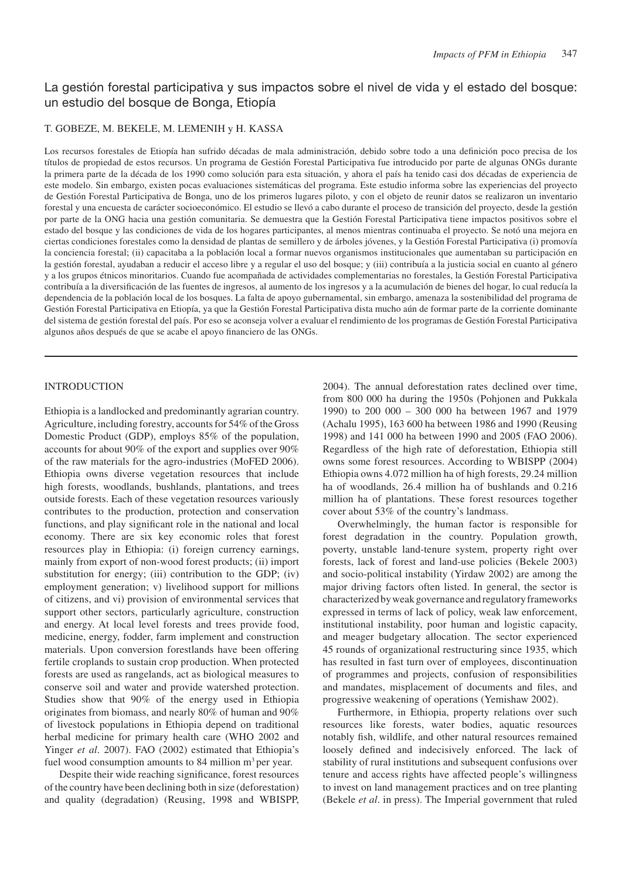# La gestión forestal participativa y sus impactos sobre el nivel de vida y el estado del bosque: un estudio del bosque de Bonga, Etiopía

# T. GOBEZE, M. BEKELE, M. LEMENIH y H. KASSA

Los recursos forestales de Etiopía han sufrido décadas de mala administración, debido sobre todo a una definición poco precisa de los títulos de propiedad de estos recursos. Un programa de Gestión Forestal Participativa fue introducido por parte de algunas ONGs durante la primera parte de la década de los 1990 como solución para esta situación, y ahora el país ha tenido casi dos décadas de experiencia de este modelo. Sin embargo, existen pocas evaluaciones sistemáticas del programa. Este estudio informa sobre las experiencias del proyecto de Gestión Forestal Participativa de Bonga, uno de los primeros lugares piloto, y con el objeto de reunir datos se realizaron un inventario forestal y una encuesta de carácter socioeconómico. El estudio se llevó a cabo durante el proceso de transición del proyecto, desde la gestión por parte de la ONG hacia una gestión comunitaria. Se demuestra que la Gestión Forestal Participativa tiene impactos positivos sobre el estado del bosque y las condiciones de vida de los hogares participantes, al menos mientras continuaba el proyecto. Se notó una mejora en ciertas condiciones forestales como la densidad de plantas de semillero y de árboles jóvenes, y la Gestión Forestal Participativa (i) promovía la conciencia forestal; (ii) capacitaba a la población local a formar nuevos organismos institucionales que aumentaban su participación en la gestión forestal, ayudaban a reducir el acceso libre y a regular el uso del bosque; y (iii) contribuía a la justicia social en cuanto al género y a los grupos étnicos minoritarios. Cuando fue acompañada de actividades complementarias no forestales, la Gestión Forestal Participativa contribuía a la diversificación de las fuentes de ingresos, al aumento de los ingresos y a la acumulación de bienes del hogar, lo cual reducía la dependencia de la población local de los bosques. La falta de apoyo gubernamental, sin embargo, amenaza la sostenibilidad del programa de Gestión Forestal Participativa en Etiopía, ya que la Gestión Forestal Participativa dista mucho aún de formar parte de la corriente dominante del sistema de gestión forestal del país. Por eso se aconseja volver a evaluar el rendimiento de los programas de Gestión Forestal Participativa algunos años después de que se acabe el apoyo financiero de las ONGs.

## INTRODUCTION

Ethiopia is a landlocked and predominantly agrarian country. Agriculture, including forestry, accounts for 54% of the Gross Domestic Product (GDP), employs 85% of the population, accounts for about 90% of the export and supplies over 90% of the raw materials for the agro-industries (MoFED 2006). Ethiopia owns diverse vegetation resources that include high forests, woodlands, bushlands, plantations, and trees outside forests. Each of these vegetation resources variously contributes to the production, protection and conservation functions, and play significant role in the national and local economy. There are six key economic roles that forest resources play in Ethiopia: (i) foreign currency earnings, mainly from export of non-wood forest products; (ii) import substitution for energy; (iii) contribution to the GDP; (iv) employment generation; v) livelihood support for millions of citizens, and vi) provision of environmental services that support other sectors, particularly agriculture, construction and energy. At local level forests and trees provide food, medicine, energy, fodder, farm implement and construction materials. Upon conversion forestlands have been offering fertile croplands to sustain crop production. When protected forests are used as rangelands, act as biological measures to conserve soil and water and provide watershed protection. Studies show that 90% of the energy used in Ethiopia originates from biomass, and nearly 80% of human and 90% of livestock populations in Ethiopia depend on traditional herbal medicine for primary health care (WHO 2002 and Yinger *et al*. 2007). FAO (2002) estimated that Ethiopia's fuel wood consumption amounts to 84 million m<sup>3</sup> per year.

Despite their wide reaching significance, forest resources of the country have been declining both in size (deforestation) and quality (degradation) (Reusing, 1998 and WBISPP, 2004). The annual deforestation rates declined over time, from 800 000 ha during the 1950s (Pohjonen and Pukkala 1990) to 200 000 – 300 000 ha between 1967 and 1979 (Achalu 1995), 163 600 ha between 1986 and 1990 (Reusing 1998) and 141 000 ha between 1990 and 2005 (FAO 2006). Regardless of the high rate of deforestation, Ethiopia still owns some forest resources. According to WBISPP (2004) Ethiopia owns 4.072 million ha of high forests, 29.24 million ha of woodlands, 26.4 million ha of bushlands and 0.216 million ha of plantations. These forest resources together cover about 53% of the country's landmass.

Overwhelmingly, the human factor is responsible for forest degradation in the country. Population growth, poverty, unstable land-tenure system, property right over forests, lack of forest and land-use policies (Bekele 2003) and socio-political instability (Yirdaw 2002) are among the major driving factors often listed. In general, the sector is characterized by weak governance and regulatory frameworks expressed in terms of lack of policy, weak law enforcement, institutional instability, poor human and logistic capacity, and meager budgetary allocation. The sector experienced 45 rounds of organizational restructuring since 1935, which has resulted in fast turn over of employees, discontinuation of programmes and projects, confusion of responsibilities and mandates, misplacement of documents and files, and progressive weakening of operations (Yemishaw 2002).

Furthermore, in Ethiopia, property relations over such resources like forests, water bodies, aquatic resources notably fish, wildlife, and other natural resources remained loosely defined and indecisively enforced. The lack of stability of rural institutions and subsequent confusions over tenure and access rights have affected people's willingness to invest on land management practices and on tree planting (Bekele *et al*. in press). The Imperial government that ruled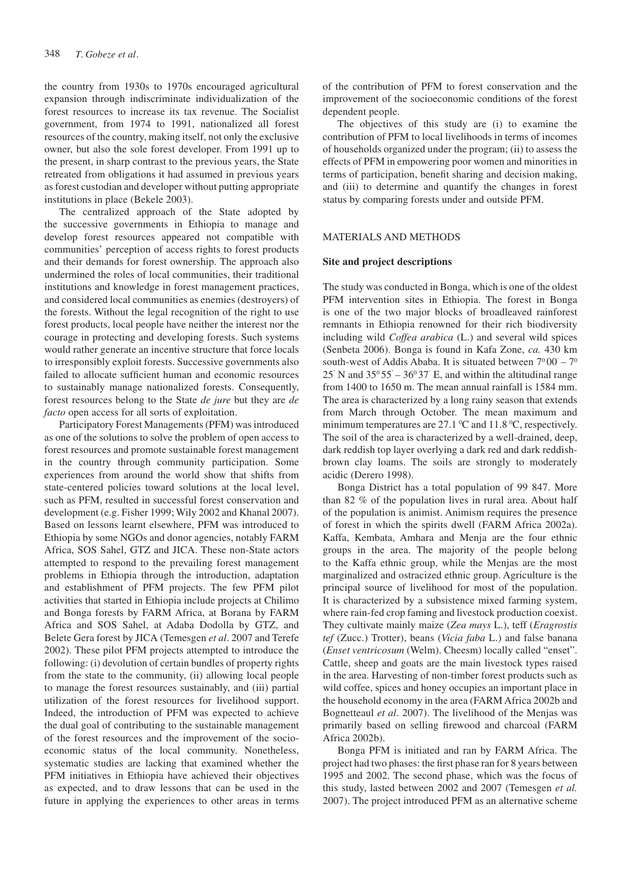the country from 1930s to 1970s encouraged agricultural expansion through indiscriminate individualization of the forest resources to increase its tax revenue. The Socialist government, from 1974 to 1991, nationalized all forest resources of the country, making itself, not only the exclusive owner, but also the sole forest developer. From 1991 up to the present, in sharp contrast to the previous years, the State retreated from obligations it had assumed in previous years as forest custodian and developer without putting appropriate institutions in place (Bekele 2003).

The centralized approach of the State adopted by the successive governments in Ethiopia to manage and develop forest resources appeared not compatible with communities' perception of access rights to forest products and their demands for forest ownership. The approach also undermined the roles of local communities, their traditional institutions and knowledge in forest management practices, and considered local communities as enemies (destroyers) of the forests. Without the legal recognition of the right to use forest products, local people have neither the interest nor the courage in protecting and developing forests. Such systems would rather generate an incentive structure that force locals to irresponsibly exploit forests. Successive governments also failed to allocate sufficient human and economic resources to sustainably manage nationalized forests. Consequently, forest resources belong to the State *de jure* but they are *de facto* open access for all sorts of exploitation.

Participatory Forest Managements (PFM) was introduced as one of the solutions to solve the problem of open access to forest resources and promote sustainable forest management in the country through community participation. Some experiences from around the world show that shifts from state-centered policies toward solutions at the local level, such as PFM, resulted in successful forest conservation and development (e.g. Fisher 1999; Wily 2002 and Khanal 2007). Based on lessons learnt elsewhere, PFM was introduced to Ethiopia by some NGOs and donor agencies, notably FARM Africa, SOS Sahel, GTZ and JICA. These non-State actors attempted to respond to the prevailing forest management problems in Ethiopia through the introduction, adaptation and establishment of PFM projects. The few PFM pilot activities that started in Ethiopia include projects at Chilimo and Bonga forests by FARM Africa, at Borana by FARM Africa and SOS Sahel, at Adaba Dodolla by GTZ, and Belete Gera forest by JICA (Temesgen *et al*. 2007 and Terefe 2002). These pilot PFM projects attempted to introduce the following: (i) devolution of certain bundles of property rights from the state to the community, (ii) allowing local people to manage the forest resources sustainably, and (iii) partial utilization of the forest resources for livelihood support. Indeed, the introduction of PFM was expected to achieve the dual goal of contributing to the sustainable management of the forest resources and the improvement of the socioeconomic status of the local community. Nonetheless, systematic studies are lacking that examined whether the PFM initiatives in Ethiopia have achieved their objectives as expected, and to draw lessons that can be used in the future in applying the experiences to other areas in terms of the contribution of PFM to forest conservation and the improvement of the socioeconomic conditions of the forest dependent people.

The objectives of this study are (i) to examine the contribution of PFM to local livelihoods in terms of incomes of households organized under the program; (ii) to assess the effects of PFM in empowering poor women and minorities in terms of participation, benefit sharing and decision making, and (iii) to determine and quantify the changes in forest status by comparing forests under and outside PFM.

### MATERIALS AND METHODS

#### **Site and project descriptions**

The study was conducted in Bonga, which is one of the oldest PFM intervention sites in Ethiopia. The forest in Bonga is one of the two major blocks of broadleaved rainforest remnants in Ethiopia renowned for their rich biodiversity including wild *Coffea arabica* (L.) and several wild spices (Senbeta 2006). Bonga is found in Kafa Zone, *ca.* 430 km south-west of Addis Ababa. It is situated between  $7^{\circ}00^{\circ} - 7^{\circ}$ 25' N and  $35^{\circ}55' - 36^{\circ}37'$  E, and within the altitudinal range from 1400 to 1650 m. The mean annual rainfall is 1584 mm. The area is characterized by a long rainy season that extends from March through October. The mean maximum and minimum temperatures are  $27.1\,^{\circ}\text{C}$  and  $11.8\,^{\circ}\text{C}$ , respectively. The soil of the area is characterized by a well-drained, deep, dark reddish top layer overlying a dark red and dark reddishbrown clay loams. The soils are strongly to moderately acidic (Derero 1998).

Bonga District has a total population of 99 847. More than 82 % of the population lives in rural area. About half of the population is animist. Animism requires the presence of forest in which the spirits dwell (FARM Africa 2002a). Kaffa, Kembata, Amhara and Menja are the four ethnic groups in the area. The majority of the people belong to the Kaffa ethnic group, while the Menjas are the most marginalized and ostracized ethnic group. Agriculture is the principal source of livelihood for most of the population. It is characterized by a subsistence mixed farming system, where rain-fed crop faming and livestock production coexist. They cultivate mainly maize (*Zea mays* L.), teff (*Eragrostis tef* (Zucc.) Trotter), beans (*Vicia faba* L.) and false banana (*Enset ventricosum* (Welm). Cheesm) locally called "enset". Cattle, sheep and goats are the main livestock types raised in the area. Harvesting of non-timber forest products such as wild coffee, spices and honey occupies an important place in the household economy in the area (FARM Africa 2002b and Bognetteaul *et al*. 2007). The livelihood of the Menjas was primarily based on selling firewood and charcoal (FARM Africa 2002b).

Bonga PFM is initiated and ran by FARM Africa. The project had two phases: the first phase ran for 8 years between 1995 and 2002. The second phase, which was the focus of this study, lasted between 2002 and 2007 (Temesgen *et al.* 2007). The project introduced PFM as an alternative scheme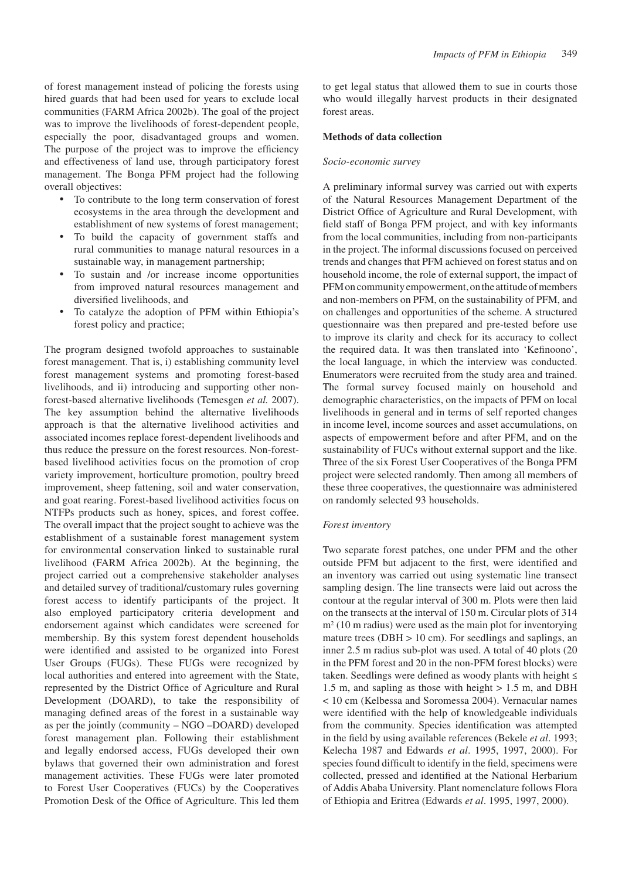of forest management instead of policing the forests using hired guards that had been used for years to exclude local communities (FARM Africa 2002b). The goal of the project was to improve the livelihoods of forest-dependent people, especially the poor, disadvantaged groups and women. The purpose of the project was to improve the efficiency and effectiveness of land use, through participatory forest management. The Bonga PFM project had the following overall objectives:

- • To contribute to the long term conservation of forest ecosystems in the area through the development and establishment of new systems of forest management;
- • To build the capacity of government staffs and rural communities to manage natural resources in a sustainable way, in management partnership;
- To sustain and /or increase income opportunities from improved natural resources management and diversified livelihoods, and
- To catalyze the adoption of PFM within Ethiopia's forest policy and practice;

The program designed twofold approaches to sustainable forest management. That is, i) establishing community level forest management systems and promoting forest-based livelihoods, and ii) introducing and supporting other nonforest-based alternative livelihoods (Temesgen *et al.* 2007). The key assumption behind the alternative livelihoods approach is that the alternative livelihood activities and associated incomes replace forest-dependent livelihoods and thus reduce the pressure on the forest resources. Non-forestbased livelihood activities focus on the promotion of crop variety improvement, horticulture promotion, poultry breed improvement, sheep fattening, soil and water conservation, and goat rearing. Forest-based livelihood activities focus on NTFPs products such as honey, spices, and forest coffee. The overall impact that the project sought to achieve was the establishment of a sustainable forest management system for environmental conservation linked to sustainable rural livelihood (FARM Africa 2002b). At the beginning, the project carried out a comprehensive stakeholder analyses and detailed survey of traditional/customary rules governing forest access to identify participants of the project. It also employed participatory criteria development and endorsement against which candidates were screened for membership. By this system forest dependent households were identified and assisted to be organized into Forest User Groups (FUGs). These FUGs were recognized by local authorities and entered into agreement with the State, represented by the District Office of Agriculture and Rural Development (DOARD), to take the responsibility of managing defined areas of the forest in a sustainable way as per the jointly (community – NGO –DOARD) developed forest management plan. Following their establishment and legally endorsed access, FUGs developed their own bylaws that governed their own administration and forest management activities. These FUGs were later promoted to Forest User Cooperatives (FUCs) by the Cooperatives Promotion Desk of the Office of Agriculture. This led them to get legal status that allowed them to sue in courts those who would illegally harvest products in their designated forest areas.

#### **Methods of data collection**

#### *Socio-economic survey*

A preliminary informal survey was carried out with experts of the Natural Resources Management Department of the District Office of Agriculture and Rural Development, with field staff of Bonga PFM project, and with key informants from the local communities, including from non-participants in the project. The informal discussions focused on perceived trends and changes that PFM achieved on forest status and on household income, the role of external support, the impact of PFM on community empowerment, on the attitude of members and non-members on PFM, on the sustainability of PFM, and on challenges and opportunities of the scheme. A structured questionnaire was then prepared and pre-tested before use to improve its clarity and check for its accuracy to collect the required data. It was then translated into 'Kefinoono', the local language, in which the interview was conducted. Enumerators were recruited from the study area and trained. The formal survey focused mainly on household and demographic characteristics, on the impacts of PFM on local livelihoods in general and in terms of self reported changes in income level, income sources and asset accumulations, on aspects of empowerment before and after PFM, and on the sustainability of FUCs without external support and the like. Three of the six Forest User Cooperatives of the Bonga PFM project were selected randomly. Then among all members of these three cooperatives, the questionnaire was administered on randomly selected 93 households.

#### *Forest inventory*

Two separate forest patches, one under PFM and the other outside PFM but adjacent to the first, were identified and an inventory was carried out using systematic line transect sampling design. The line transects were laid out across the contour at the regular interval of 300 m. Plots were then laid on the transects at the interval of 150 m. Circular plots of 314 m<sup>2</sup> (10 m radius) were used as the main plot for inventorying mature trees ( $DBH > 10$  cm). For seedlings and saplings, an inner 2.5 m radius sub-plot was used. A total of 40 plots (20 in the PFM forest and 20 in the non-PFM forest blocks) were taken. Seedlings were defined as woody plants with height ≤ 1.5 m, and sapling as those with height > 1.5 m, and DBH < 10 cm (Kelbessa and Soromessa 2004). Vernacular names were identified with the help of knowledgeable individuals from the community. Species identification was attempted in the field by using available references (Bekele *et al*. 1993; Kelecha 1987 and Edwards *et al*. 1995, 1997, 2000). For species found difficult to identify in the field, specimens were collected, pressed and identified at the National Herbarium of Addis Ababa University. Plant nomenclature follows Flora of Ethiopia and Eritrea (Edwards *et al*. 1995, 1997, 2000).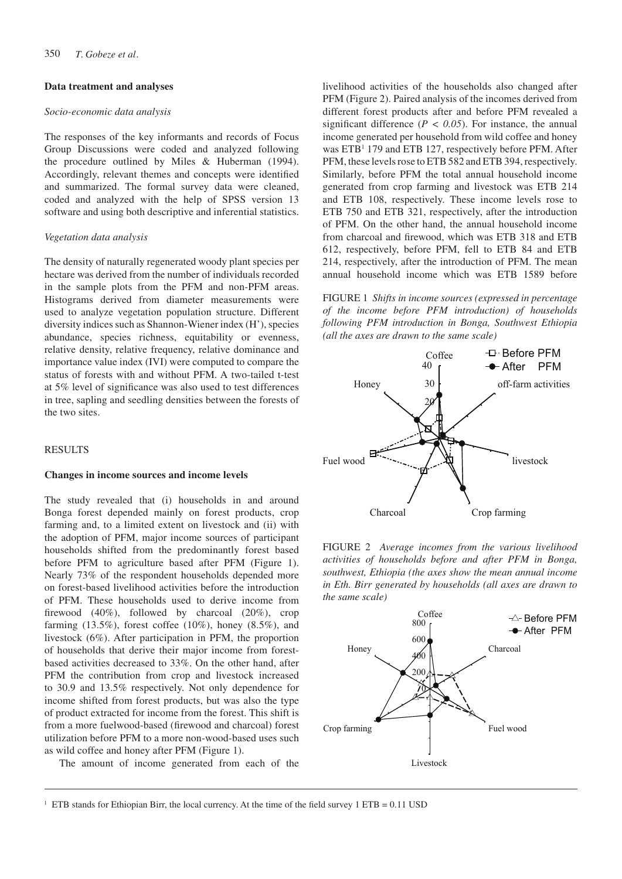## **Data treatment and analyses**

#### *Socio-economic data analysis*

The responses of the key informants and records of Focus Group Discussions were coded and analyzed following the procedure outlined by Miles & Huberman (1994). Accordingly, relevant themes and concepts were identified and summarized. The formal survey data were cleaned, coded and analyzed with the help of SPSS version 13 software and using both descriptive and inferential statistics.

#### *Vegetation data analysis*

The density of naturally regenerated woody plant species per hectare was derived from the number of individuals recorded in the sample plots from the PFM and non-PFM areas. Histograms derived from diameter measurements were used to analyze vegetation population structure. Different diversity indices such as Shannon-Wiener index (H'), species abundance, species richness, equitability or evenness, relative density, relative frequency, relative dominance and importance value index (IVI) were computed to compare the status of forests with and without PFM. A two-tailed t-test at 5% level of significance was also used to test differences in tree, sapling and seedling densities between the forests of the two sites.

# RESULTS

#### **Changes in income sources and income levels**

The study revealed that (i) households in and around Bonga forest depended mainly on forest products, crop farming and, to a limited extent on livestock and (ii) with the adoption of PFM, major income sources of participant households shifted from the predominantly forest based before PFM to agriculture based after PFM (Figure 1). Nearly 73% of the respondent households depended more on forest-based livelihood activities before the introduction of PFM. These households used to derive income from firewood (40%), followed by charcoal (20%), crop farming  $(13.5\%)$ , forest coffee  $(10\%)$ , honey  $(8.5\%)$ , and livestock (6%). After participation in PFM, the proportion of households that derive their major income from forestbased activities decreased to 33%. On the other hand, after PFM the contribution from crop and livestock increased to 30.9 and 13.5% respectively. Not only dependence for income shifted from forest products, but was also the type of product extracted for income from the forest. This shift is from a more fuelwood-based (firewood and charcoal) forest utilization before PFM to a more non-wood-based uses such as wild coffee and honey after PFM (Figure 1).

The amount of income generated from each of the

livelihood activities of the households also changed after PFM (Figure 2). Paired analysis of the incomes derived from different forest products after and before PFM revealed a significant difference ( $P < 0.05$ ). For instance, the annual income generated per household from wild coffee and honey was ETB<sup>1</sup> 179 and ETB 127, respectively before PFM. After PFM, these levels rose to ETB 582 and ETB 394, respectively. Similarly, before PFM the total annual household income generated from crop farming and livestock was ETB 214 and ETB 108, respectively. These income levels rose to ETB 750 and ETB 321, respectively, after the introduction of PFM. On the other hand, the annual household income from charcoal and firewood, which was ETB 318 and ETB 612, respectively, before PFM, fell to ETB 84 and ETB 214, respectively, after the introduction of PFM. The mean annual household income which was ETB 1589 before

FIGURE 1 *Shifts in income sources (expressed in percentage of the income before PFM introduction) of households following PFM introduction in Bonga, Southwest Ethiopia (all the axes are drawn to the same scale)*







<sup>&</sup>lt;sup>1</sup> ETB stands for Ethiopian Birr, the local currency. At the time of the field survey 1 ETB = 0.11 USD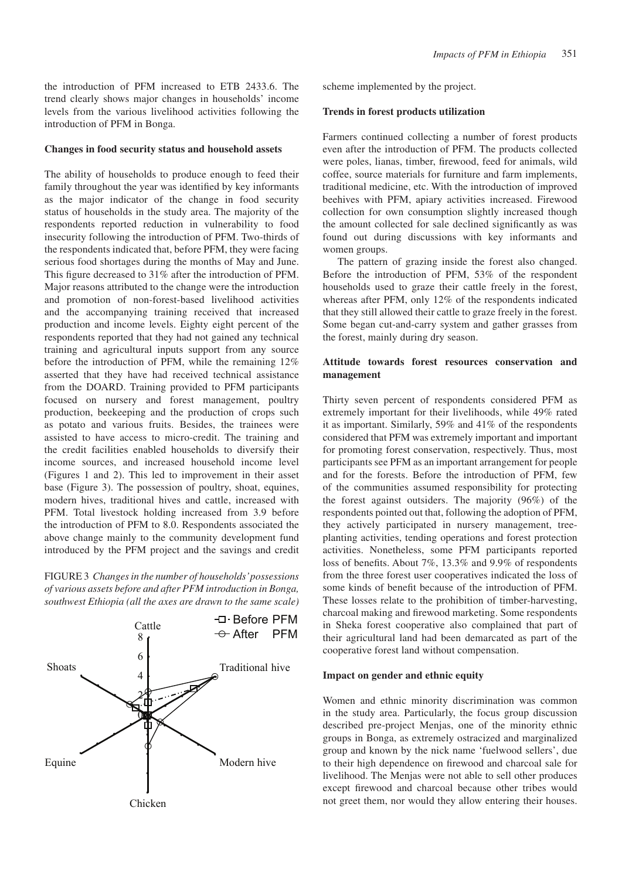the introduction of PFM increased to ETB 2433.6. The trend clearly shows major changes in households' income levels from the various livelihood activities following the introduction of PFM in Bonga.

#### **Changes in food security status and household assets**

The ability of households to produce enough to feed their family throughout the year was identified by key informants as the major indicator of the change in food security status of households in the study area. The majority of the respondents reported reduction in vulnerability to food insecurity following the introduction of PFM. Two-thirds of the respondents indicated that, before PFM, they were facing serious food shortages during the months of May and June. This figure decreased to 31% after the introduction of PFM. Major reasons attributed to the change were the introduction and promotion of non-forest-based livelihood activities and the accompanying training received that increased production and income levels. Eighty eight percent of the respondents reported that they had not gained any technical training and agricultural inputs support from any source before the introduction of PFM, while the remaining 12% asserted that they have had received technical assistance from the DOARD. Training provided to PFM participants focused on nursery and forest management, poultry production, beekeeping and the production of crops such as potato and various fruits. Besides, the trainees were assisted to have access to micro-credit. The training and the credit facilities enabled households to diversify their income sources, and increased household income level (Figures 1 and 2). This led to improvement in their asset base (Figure 3). The possession of poultry, shoat, equines, modern hives, traditional hives and cattle, increased with PFM. Total livestock holding increased from 3.9 before the introduction of PFM to 8.0. Respondents associated the above change mainly to the community development fund introduced by the PFM project and the savings and credit

FIGURE 3 *Changes in the number of households' possessions of various assets before and after PFM introduction in Bonga, southwest Ethiopia (all the axes are drawn to the same scale)*



scheme implemented by the project.

#### **Trends in forest products utilization**

Farmers continued collecting a number of forest products even after the introduction of PFM. The products collected were poles, lianas, timber, firewood, feed for animals, wild coffee, source materials for furniture and farm implements, traditional medicine, etc. With the introduction of improved beehives with PFM, apiary activities increased. Firewood collection for own consumption slightly increased though the amount collected for sale declined significantly as was found out during discussions with key informants and women groups.

The pattern of grazing inside the forest also changed. Before the introduction of PFM, 53% of the respondent households used to graze their cattle freely in the forest, whereas after PFM, only 12% of the respondents indicated that they still allowed their cattle to graze freely in the forest. Some began cut-and-carry system and gather grasses from the forest, mainly during dry season.

# **Attitude towards forest resources conservation and management**

Thirty seven percent of respondents considered PFM as extremely important for their livelihoods, while 49% rated it as important. Similarly, 59% and 41% of the respondents considered that PFM was extremely important and important for promoting forest conservation, respectively. Thus, most participants see PFM as an important arrangement for people and for the forests. Before the introduction of PFM, few of the communities assumed responsibility for protecting the forest against outsiders. The majority (96%) of the respondents pointed out that, following the adoption of PFM, they actively participated in nursery management, treeplanting activities, tending operations and forest protection activities. Nonetheless, some PFM participants reported loss of benefits. About 7%, 13.3% and 9.9% of respondents from the three forest user cooperatives indicated the loss of some kinds of benefit because of the introduction of PFM. These losses relate to the prohibition of timber-harvesting, charcoal making and firewood marketing. Some respondents in Sheka forest cooperative also complained that part of their agricultural land had been demarcated as part of the cooperative forest land without compensation.

#### **Impact on gender and ethnic equity**

Women and ethnic minority discrimination was common in the study area. Particularly, the focus group discussion described pre-project Menjas, one of the minority ethnic groups in Bonga, as extremely ostracized and marginalized group and known by the nick name 'fuelwood sellers', due to their high dependence on firewood and charcoal sale for livelihood. The Menjas were not able to sell other produces except firewood and charcoal because other tribes would not greet them, nor would they allow entering their houses.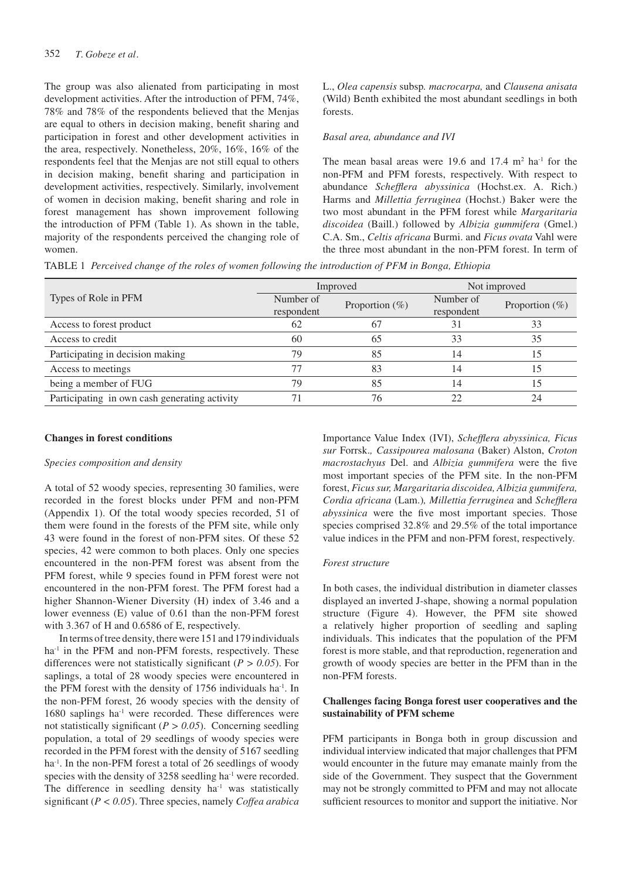The group was also alienated from participating in most development activities. After the introduction of PFM, 74%, 78% and 78% of the respondents believed that the Menjas are equal to others in decision making, benefit sharing and participation in forest and other development activities in the area, respectively. Nonetheless, 20%, 16%, 16% of the respondents feel that the Menjas are not still equal to others in decision making, benefit sharing and participation in development activities, respectively. Similarly, involvement of women in decision making, benefit sharing and role in forest management has shown improvement following the introduction of PFM (Table 1). As shown in the table, majority of the respondents perceived the changing role of women.

L., *Olea capensis* subsp*. macrocarpa,* and *Clausena anisata*  (Wild) Benth exhibited the most abundant seedlings in both forests.

#### *Basal area, abundance and IVI*

The mean basal areas were 19.6 and  $17.4 \text{ m}^2$  ha<sup>-1</sup> for the non-PFM and PFM forests, respectively. With respect to abundance *Schefflera abyssinica* (Hochst.ex. A. Rich.) Harms and *Millettia ferruginea* (Hochst.) Baker were the two most abundant in the PFM forest while *Margaritaria discoidea* (Baill.) followed by *Albizia gummifera* (Gmel.) C.A. Sm., *Celtis africana* Burmi. and *Ficus ovata* Vahl were the three most abundant in the non-PFM forest. In term of

Table 1 *Perceived change of the roles of women following the introduction of PFM in Bonga, Ethiopia*

|                                               |            | Improved          | Not improved |                   |  |
|-----------------------------------------------|------------|-------------------|--------------|-------------------|--|
| Types of Role in PFM                          | Number of  | Proportion $(\%)$ | Number of    | Proportion $(\%)$ |  |
|                                               | respondent |                   | respondent   |                   |  |
| Access to forest product                      | 62         | -67               | 31           | 33                |  |
| Access to credit                              | 60         | 65                | 33           | 35                |  |
| Participating in decision making              | 79         | 85                | 14           |                   |  |
| Access to meetings                            |            | 83                | 14           |                   |  |
| being a member of FUG                         | 79         | 85                | 14           |                   |  |
| Participating in own cash generating activity |            | 76                |              | 24                |  |

#### **Changes in forest conditions**

#### *Species composition and density*

A total of 52 woody species, representing 30 families, were recorded in the forest blocks under PFM and non-PFM (Appendix 1). Of the total woody species recorded, 51 of them were found in the forests of the PFM site, while only 43 were found in the forest of non-PFM sites. Of these 52 species, 42 were common to both places. Only one species encountered in the non-PFM forest was absent from the PFM forest, while 9 species found in PFM forest were not encountered in the non-PFM forest. The PFM forest had a higher Shannon-Wiener Diversity (H) index of 3.46 and a lower evenness (E) value of 0.61 than the non-PFM forest with 3.367 of H and 0.6586 of E, respectively.

In terms of tree density, there were 151 and 179 individuals ha<sup>-1</sup> in the PFM and non-PFM forests, respectively. These differences were not statistically significant (*P > 0.05*). For saplings, a total of 28 woody species were encountered in the PFM forest with the density of 1756 individuals ha-1. In the non-PFM forest, 26 woody species with the density of 1680 saplings ha<sup>-1</sup> were recorded. These differences were not statistically significant (*P > 0.05*). Concerning seedling population, a total of 29 seedlings of woody species were recorded in the PFM forest with the density of 5167 seedling ha<sup>-1</sup>. In the non-PFM forest a total of 26 seedlings of woody species with the density of 3258 seedling ha<sup>-1</sup> were recorded. The difference in seedling density  $ha^{-1}$  was statistically significant (*P < 0.05*). Three species, namely *Coffea arabica* 

Importance Value Index (IVI), *Schefflera abyssinica, Ficus sur* Forrsk.*, Cassipourea malosana* (Baker) Alston, *Croton macrostachyus* Del. and *Albizia gummifera* were the five most important species of the PFM site. In the non-PFM forest, *Ficus sur, Margaritaria discoidea, Albizia gummifera, Cordia africana* (Lam.)*, Millettia ferruginea* and *Schefflera abyssinica* were the five most important species. Those species comprised 32.8% and 29.5% of the total importance value indices in the PFM and non-PFM forest, respectively.

#### *Forest structure*

In both cases, the individual distribution in diameter classes displayed an inverted J-shape, showing a normal population structure (Figure 4). However, the PFM site showed a relatively higher proportion of seedling and sapling individuals. This indicates that the population of the PFM forest is more stable, and that reproduction, regeneration and growth of woody species are better in the PFM than in the non-PFM forests.

# **Challenges facing Bonga forest user cooperatives and the sustainability of PFM scheme**

PFM participants in Bonga both in group discussion and individual interview indicated that major challenges that PFM would encounter in the future may emanate mainly from the side of the Government. They suspect that the Government may not be strongly committed to PFM and may not allocate sufficient resources to monitor and support the initiative. Nor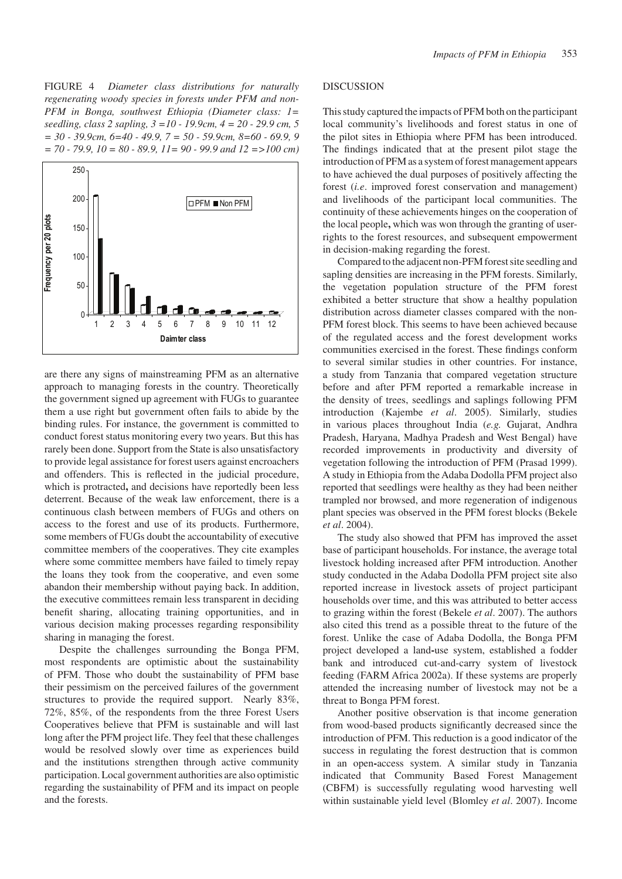FIGURE 4 *Diameter class distributions for naturally regenerating woody species in forests under PFM and non-PFM in Bonga, southwest Ethiopia (Diameter class: 1= seedling, class 2 sapling, 3 =10 - 19.9cm, 4 = 20 - 29.9 cm, 5 = 30 - 39.9cm, 6=40 - 49.9, 7 = 50 - 59.9cm, 8=60 - 69.9, 9 = 70 - 79.9, 10 = 80 - 89.9, 11= 90 - 99.9 and 12 =>100 cm)*



are there any signs of mainstreaming PFM as an alternative approach to managing forests in the country. Theoretically the government signed up agreement with FUGs to guarantee them a use right but government often fails to abide by the binding rules. For instance, the government is committed to conduct forest status monitoring every two years. But this has rarely been done. Support from the State is also unsatisfactory to provide legal assistance for forest users against encroachers and offenders. This is reflected in the judicial procedure, which is protracted**,** and decisions have reportedly been less deterrent. Because of the weak law enforcement, there is a continuous clash between members of FUGs and others on access to the forest and use of its products. Furthermore, some members of FUGs doubt the accountability of executive committee members of the cooperatives. They cite examples where some committee members have failed to timely repay the loans they took from the cooperative, and even some abandon their membership without paying back. In addition, the executive committees remain less transparent in deciding benefit sharing, allocating training opportunities, and in various decision making processes regarding responsibility sharing in managing the forest.

Despite the challenges surrounding the Bonga PFM, most respondents are optimistic about the sustainability of PFM. Those who doubt the sustainability of PFM base their pessimism on the perceived failures of the government structures to provide the required support. Nearly 83%, 72%, 85%, of the respondents from the three Forest Users Cooperatives believe that PFM is sustainable and will last long after the PFM project life. They feel that these challenges would be resolved slowly over time as experiences build and the institutions strengthen through active community participation. Local government authorities are also optimistic regarding the sustainability of PFM and its impact on people and the forests.

## DISCUSSION

This study captured the impacts of PFM both on the participant local community's livelihoods and forest status in one of the pilot sites in Ethiopia where PFM has been introduced. The findings indicated that at the present pilot stage the introduction of PFM as a system of forest management appears to have achieved the dual purposes of positively affecting the forest (*i.e*. improved forest conservation and management) and livelihoods of the participant local communities. The continuity of these achievements hinges on the cooperation of the local people**,** which was won through the granting of userrights to the forest resources, and subsequent empowerment in decision-making regarding the forest.

Compared to the adjacent non-PFM forest site seedling and sapling densities are increasing in the PFM forests. Similarly, the vegetation population structure of the PFM forest exhibited a better structure that show a healthy population distribution across diameter classes compared with the non-PFM forest block. This seems to have been achieved because of the regulated access and the forest development works communities exercised in the forest. These findings conform to several similar studies in other countries. For instance, a study from Tanzania that compared vegetation structure before and after PFM reported a remarkable increase in the density of trees, seedlings and saplings following PFM introduction (Kajembe *et al*. 2005). Similarly, studies in various places throughout India (*e.g.* Gujarat, Andhra Pradesh, Haryana, Madhya Pradesh and West Bengal) have recorded improvements in productivity and diversity of vegetation following the introduction of PFM (Prasad 1999). A study in Ethiopia from the Adaba Dodolla PFM project also reported that seedlings were healthy as they had been neither trampled nor browsed, and more regeneration of indigenous plant species was observed in the PFM forest blocks (Bekele *et al*. 2004).

The study also showed that PFM has improved the asset base of participant households. For instance, the average total livestock holding increased after PFM introduction. Another study conducted in the Adaba Dodolla PFM project site also reported increase in livestock assets of project participant households over time, and this was attributed to better access to grazing within the forest (Bekele *et al*. 2007). The authors also cited this trend as a possible threat to the future of the forest. Unlike the case of Adaba Dodolla, the Bonga PFM project developed a land**-**use system, established a fodder bank and introduced cut-and-carry system of livestock feeding (FARM Africa 2002a). If these systems are properly attended the increasing number of livestock may not be a threat to Bonga PFM forest.

Another positive observation is that income generation from wood-based products significantly decreased since the introduction of PFM. This reduction is a good indicator of the success in regulating the forest destruction that is common in an open**-**access system. A similar study in Tanzania indicated that Community Based Forest Management (CBFM) is successfully regulating wood harvesting well within sustainable yield level (Blomley *et al*. 2007). Income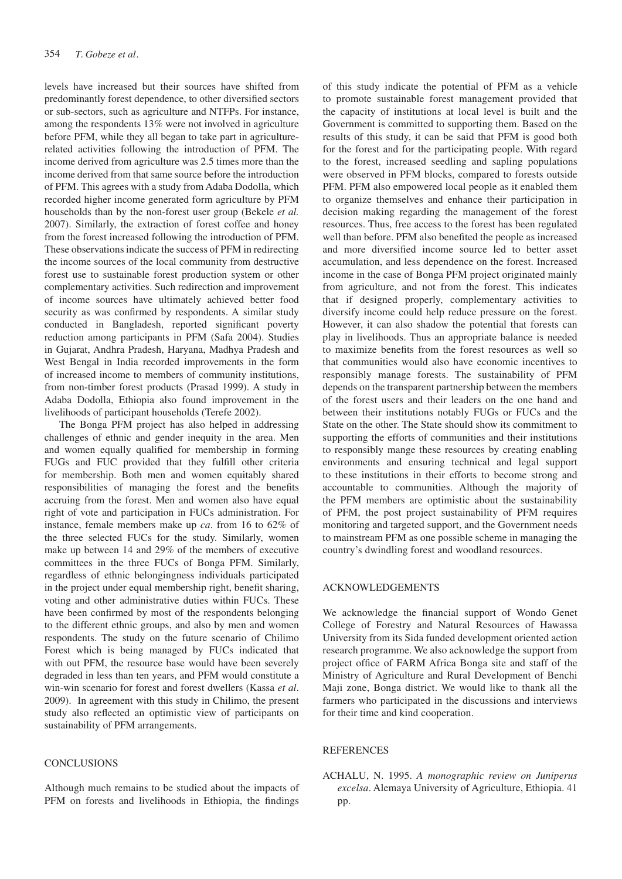levels have increased but their sources have shifted from predominantly forest dependence, to other diversified sectors or sub-sectors, such as agriculture and NTFPs. For instance, among the respondents 13% were not involved in agriculture before PFM, while they all began to take part in agriculturerelated activities following the introduction of PFM. The income derived from agriculture was 2.5 times more than the income derived from that same source before the introduction of PFM. This agrees with a study from Adaba Dodolla, which recorded higher income generated form agriculture by PFM households than by the non-forest user group (Bekele *et al.* 2007). Similarly, the extraction of forest coffee and honey from the forest increased following the introduction of PFM. These observations indicate the success of PFM in redirecting the income sources of the local community from destructive forest use to sustainable forest production system or other complementary activities. Such redirection and improvement of income sources have ultimately achieved better food security as was confirmed by respondents. A similar study conducted in Bangladesh, reported significant poverty reduction among participants in PFM (Safa 2004). Studies in Gujarat, Andhra Pradesh, Haryana, Madhya Pradesh and West Bengal in India recorded improvements in the form of increased income to members of community institutions, from non-timber forest products (Prasad 1999). A study in Adaba Dodolla, Ethiopia also found improvement in the livelihoods of participant households (Terefe 2002).

The Bonga PFM project has also helped in addressing challenges of ethnic and gender inequity in the area. Men and women equally qualified for membership in forming FUGs and FUC provided that they fulfill other criteria for membership. Both men and women equitably shared responsibilities of managing the forest and the benefits accruing from the forest. Men and women also have equal right of vote and participation in FUCs administration. For instance, female members make up *ca*. from 16 to 62% of the three selected FUCs for the study. Similarly, women make up between 14 and 29% of the members of executive committees in the three FUCs of Bonga PFM. Similarly, regardless of ethnic belongingness individuals participated in the project under equal membership right, benefit sharing, voting and other administrative duties within FUCs. These have been confirmed by most of the respondents belonging to the different ethnic groups, and also by men and women respondents. The study on the future scenario of Chilimo Forest which is being managed by FUCs indicated that with out PFM, the resource base would have been severely degraded in less than ten years, and PFM would constitute a win-win scenario for forest and forest dwellers (Kassa *et al*. 2009). In agreement with this study in Chilimo, the present study also reflected an optimistic view of participants on sustainability of PFM arrangements.

# **CONCLUSIONS**

Although much remains to be studied about the impacts of PFM on forests and livelihoods in Ethiopia, the findings of this study indicate the potential of PFM as a vehicle to promote sustainable forest management provided that the capacity of institutions at local level is built and the Government is committed to supporting them. Based on the results of this study, it can be said that PFM is good both for the forest and for the participating people. With regard to the forest, increased seedling and sapling populations were observed in PFM blocks, compared to forests outside PFM. PFM also empowered local people as it enabled them to organize themselves and enhance their participation in decision making regarding the management of the forest resources. Thus, free access to the forest has been regulated well than before. PFM also benefited the people as increased and more diversified income source led to better asset accumulation, and less dependence on the forest. Increased income in the case of Bonga PFM project originated mainly from agriculture, and not from the forest. This indicates that if designed properly, complementary activities to diversify income could help reduce pressure on the forest. However, it can also shadow the potential that forests can play in livelihoods. Thus an appropriate balance is needed to maximize benefits from the forest resources as well so that communities would also have economic incentives to responsibly manage forests. The sustainability of PFM depends on the transparent partnership between the members of the forest users and their leaders on the one hand and between their institutions notably FUGs or FUCs and the State on the other. The State should show its commitment to supporting the efforts of communities and their institutions to responsibly mange these resources by creating enabling environments and ensuring technical and legal support to these institutions in their efforts to become strong and accountable to communities. Although the majority of the PFM members are optimistic about the sustainability of PFM, the post project sustainability of PFM requires monitoring and targeted support, and the Government needs to mainstream PFM as one possible scheme in managing the country's dwindling forest and woodland resources.

#### ACKNOWLEDGEMENTS

We acknowledge the financial support of Wondo Genet College of Forestry and Natural Resources of Hawassa University from its Sida funded development oriented action research programme. We also acknowledge the support from project office of FARM Africa Bonga site and staff of the Ministry of Agriculture and Rural Development of Benchi Maji zone, Bonga district. We would like to thank all the farmers who participated in the discussions and interviews for their time and kind cooperation.

### **REFERENCES**

ACHALU, N. 1995. *A monographic review on Juniperus excelsa*. Alemaya University of Agriculture, Ethiopia. 41 pp.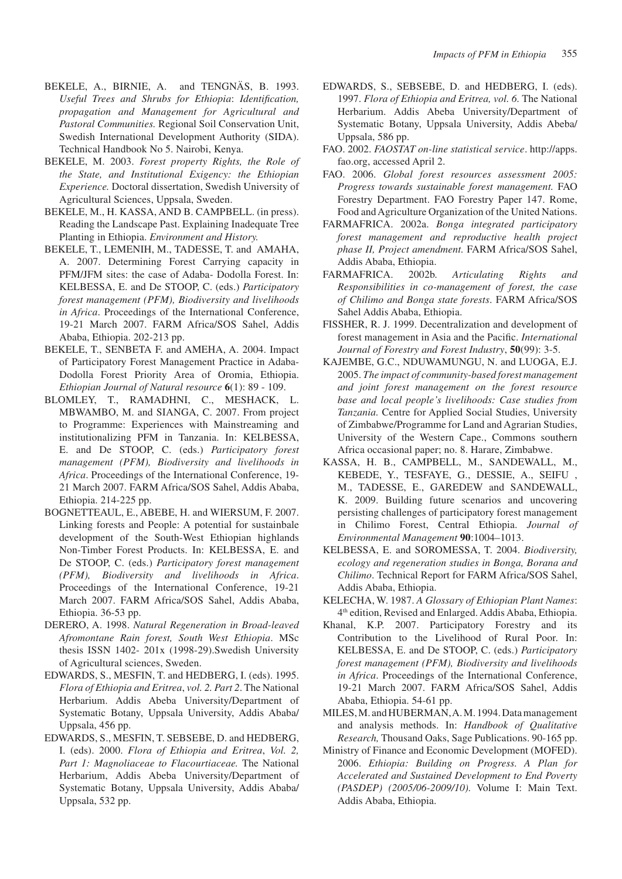- BEKELE, A., BIRNIE, A. and TENGNÄS, B. 1993. *Useful Trees and Shrubs for Ethiopia*: *Identification, propagation and Management for Agricultural and Pastoral Communities.* Regional Soil Conservation Unit, Swedish International Development Authority (SIDA). Technical Handbook No 5. Nairobi, Kenya.
- BEKELE, M. 2003. *Forest property Rights, the Role of the State, and Institutional Exigency: the Ethiopian Experience.* Doctoral dissertation, Swedish University of Agricultural Sciences, Uppsala, Sweden.
- Bekele, M., H. Kassa, and B. Campbell. (in press). Reading the Landscape Past. Explaining Inadequate Tree Planting in Ethiopia. *Environment and History.*
- BEKELE, T., LEMENIH, M., TADESSE, T. and AMAHA, A. 2007. Determining Forest Carrying capacity in PFM/JFM sites: the case of Adaba- Dodolla Forest. In: KELBESSA, E. and De STOOP, C. (eds.) *Participatory forest management (PFM), Biodiversity and livelihoods in Africa*. Proceedings of the International Conference, 19-21 March 2007. FARM Africa/SOS Sahel, Addis Ababa, Ethiopia. 202-213 pp.
- BEKELE, T., SENBETA F. and AMEHA, A. 2004. Impact of Participatory Forest Management Practice in Adaba-Dodolla Forest Priority Area of Oromia, Ethiopia. *Ethiopian Journal of Natural resource* **6**(1): 89 - 109.
- BLOMLEY, T., RAMADHNI, C., MESHACK, L. MBWAMBO, M. and SIANGA, C. 2007. From project to Programme: Experiences with Mainstreaming and institutionalizing PFM in Tanzania. In: KELBESSA, E. and De STOOP, C. (eds.) *Participatory forest management (PFM), Biodiversity and livelihoods in Africa*. Proceedings of the International Conference, 19- 21 March 2007. FARM Africa/SOS Sahel, Addis Ababa, Ethiopia. 214-225 pp.
- BOGNETTEAUL, E., ABEBE, H. and WIERSUM, F. 2007. Linking forests and People: A potential for sustainbale development of the South-West Ethiopian highlands Non-Timber Forest Products. In: KELBESSA, E. and De STOOP, C. (eds.) *Participatory forest management (PFM), Biodiversity and livelihoods in Africa*. Proceedings of the International Conference, 19-21 March 2007. FARM Africa/SOS Sahel, Addis Ababa, Ethiopia. 36-53 pp.
- DERERO, A. 1998. *Natural Regeneration in Broad-leaved Afromontane Rain forest, South West Ethiopia*. MSc thesis ISSN 1402- 201x (1998-29).Swedish University of Agricultural sciences, Sweden.
- EDWARDS, S., MESFIN, T. and HEDBERG, I. (eds). 1995. *Flora of Ethiopia and Eritrea*, *vol. 2. Part 2*. The National Herbarium. Addis Abeba University/Department of Systematic Botany, Uppsala University, Addis Ababa/ Uppsala, 456 pp.
- EDWARDS, S., MESFIN, T. SEBSEBE, D. and HEDBERG, I. (eds). 2000. *Flora of Ethiopia and Eritrea*, *Vol. 2, Part 1: Magnoliaceae to Flacourtiaceae.* The National Herbarium, Addis Abeba University/Department of Systematic Botany, Uppsala University, Addis Ababa/ Uppsala, 532 pp.
- EDWARDS, S., SEBSEBE, D. and HEDBERG, I. (eds). 1997. *Flora of Ethiopia and Eritrea, vol. 6.* The National Herbarium. Addis Abeba University/Department of Systematic Botany, Uppsala University, Addis Abeba/ Uppsala, 586 pp.
- FAO. 2002. *FAOSTAT on-line statistical service*. http://apps. fao.org, accessed April 2.
- FAO. 2006. *Global forest resources assessment 2005: Progress towards sustainable forest management.* FAO Forestry Department. FAO Forestry Paper 147. Rome, Food and Agriculture Organization of the United Nations.
- FARMAFRICA. 2002a. *Bonga integrated participatory forest management and reproductive health project phase II, Project amendment.* FARM Africa/SOS Sahel, Addis Ababa, Ethiopia.
- FARMAFRICA. 2002b. *Articulating Rights and Responsibilities in co-management of forest, the case of Chilimo and Bonga state forests*. FARM Africa/SOS Sahel Addis Ababa, Ethiopia.
- FISSHER, R. J. 1999. Decentralization and development of forest management in Asia and the Pacific. *International Journal of Forestry and Forest Industry*, **50**(99): 3-5.
- KAJEMBE, G.C., NDUWAMUNGU, N. and LUOGA, E.J. 2005. *The impact of community-based forest management and joint forest management on the forest resource base and local people's livelihoods: Case studies from Tanzania.* Centre for Applied Social Studies, University of Zimbabwe/Programme for Land and Agrarian Studies, University of the Western Cape., Commons southern Africa occasional paper; no. 8. Harare, Zimbabwe.
- Kassa, H. B., Campbell, M., Sandewall, M., Kebede, Y., Tesfaye, G., Dessie, A., Seifu , M., Tadesse, E., Garedew and Sandewall, K. 2009. Building future scenarios and uncovering persisting challenges of participatory forest management in Chilimo Forest, Central Ethiopia. *Journal of Environmental Management* **90**:1004–1013.
- KELBESSA, E. and SOROMESSA, T. 2004. *Biodiversity, ecology and regeneration studies in Bonga, Borana and Chilimo*. Technical Report for FARM Africa/SOS Sahel, Addis Ababa, Ethiopia.
- KELECHA, W. 1987. *A Glossary of Ethiopian Plant Names*: 4th edition, Revised and Enlarged. Addis Ababa, Ethiopia.
- Khanal, K.P. 2007. Participatory Forestry and its Contribution to the Livelihood of Rural Poor. In: KELBESSA, E. and De STOOP, C. (eds.) *Participatory forest management (PFM), Biodiversity and livelihoods in Africa*. Proceedings of the International Conference, 19-21 March 2007. FARM Africa/SOS Sahel, Addis Ababa, Ethiopia. 54-61 pp.
- MILES, M. and HUBERMAN, A. M. 1994. Data management and analysis methods. In: *Handbook of Qualitative Research,* Thousand Oaks, Sage Publications. 90-165 pp.
- Ministry of Finance and Economic Development (MOFED). 2006. *Ethiopia: Building on Progress. A Plan for Accelerated and Sustained Development to End Poverty (PASDEP) (2005/06-2009/10).* Volume I: Main Text. Addis Ababa, Ethiopia.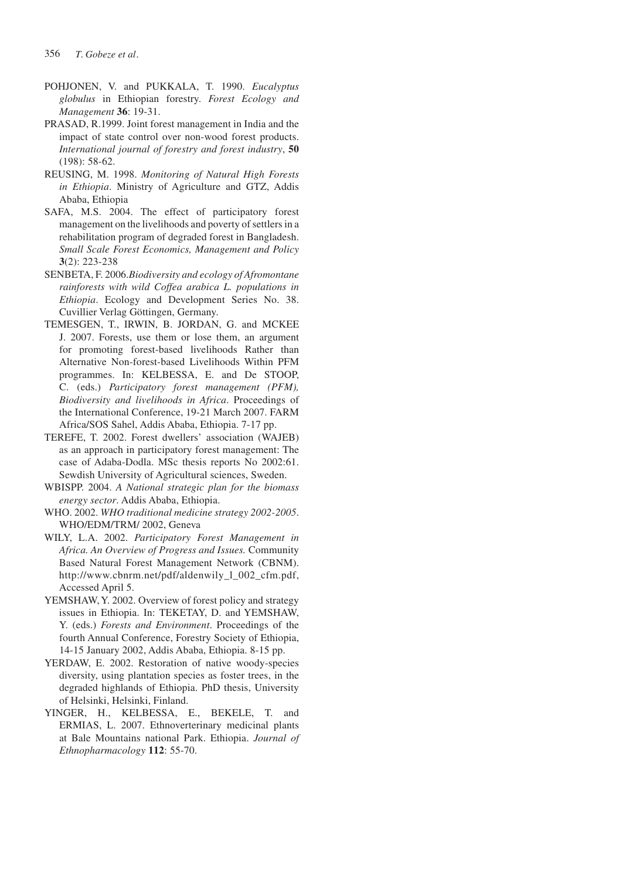- POHJONEN, V. and PUKKALA, T. 1990. *Eucalyptus globulus* in Ethiopian forestry. *Forest Ecology and Management* **36**: 19-31.
- PRASAD, R.1999. Joint forest management in India and the impact of state control over non-wood forest products. *International journal of forestry and forest industry*, **50**  (198): 58-62.
- REUSING, M. 1998. *Monitoring of Natural High Forests in Ethiopia*. Ministry of Agriculture and GTZ, Addis Ababa, Ethiopia
- SAFA, M.S. 2004. The effect of participatory forest management on the livelihoods and poverty of settlers in a rehabilitation program of degraded forest in Bangladesh. *Small Scale Forest Economics, Management and Policy* **3**(2): 223-238
- SENBETA, F. 2006.*Biodiversity and ecology of Afromontane rainforests with wild Coffea arabica L. populations in Ethiopia*. Ecology and Development Series No. 38. Cuvillier Verlag Göttingen, Germany.
- TEMESGEN, T., IRWIN, B. JORDAN, G. and MCKEE J. 2007. Forests, use them or lose them, an argument for promoting forest-based livelihoods Rather than Alternative Non-forest-based Livelihoods Within PFM programmes. In: KELBESSA, E. and De STOOP, C. (eds.) *Participatory forest management (PFM), Biodiversity and livelihoods in Africa*. Proceedings of the International Conference, 19-21 March 2007. FARM Africa/SOS Sahel, Addis Ababa, Ethiopia. 7-17 pp.
- TEREFE, T. 2002. Forest dwellers' association (WAJEB) as an approach in participatory forest management: The case of Adaba-Dodla. MSc thesis reports No 2002:61. Sewdish University of Agricultural sciences, Sweden.
- WBISPP. 2004. *A National strategic plan for the biomass energy sector*. Addis Ababa, Ethiopia.
- WHO. 2002. *WHO traditional medicine strategy 2002-2005*. WHO/EDM/TRM/ 2002, Geneva
- WILY, L.A. 2002. *Participatory Forest Management in Africa. An Overview of Progress and Issues.* Community Based Natural Forest Management Network (CBNM). http://www.cbnrm.net/pdf/aldenwily\_l\_002\_cfm.pdf, Accessed April 5.
- YEMSHAW, Y. 2002. Overview of forest policy and strategy issues in Ethiopia. In: TEKETAY, D. and YEMSHAW, Y. (eds.) *Forests and Environment*. Proceedings of the fourth Annual Conference, Forestry Society of Ethiopia, 14-15 January 2002, Addis Ababa, Ethiopia. 8-15 pp.
- YERDAW, E. 2002. Restoration of native woody-species diversity, using plantation species as foster trees, in the degraded highlands of Ethiopia. PhD thesis, University of Helsinki, Helsinki, Finland.
- YINGER, H., KELBESSA, E., BEKELE, T. and ERMIAS, L. 2007. Ethnoverterinary medicinal plants at Bale Mountains national Park. Ethiopia. *Journal of Ethnopharmacology* **112**: 55-70.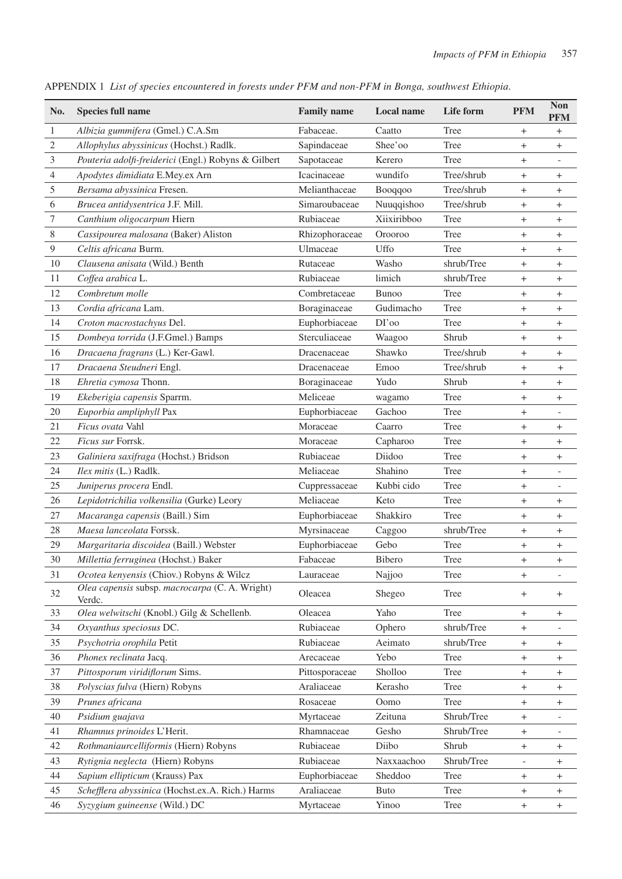| No.           | <b>Species full name</b>                                 | <b>Family name</b> | Local name    | Life form  | <b>PFM</b>                                 | <b>Non</b><br><b>PFM</b>         |
|---------------|----------------------------------------------------------|--------------------|---------------|------------|--------------------------------------------|----------------------------------|
| $\mathbf{1}$  | Albizia gummifera (Gmel.) C.A.Sm                         | Fabaceae.          | Caatto        | Tree       | $^{+}$                                     | $^{+}$                           |
| 2             | Allophylus abyssinicus (Hochst.) Radlk.                  | Sapindaceae        | Shee'oo       | Tree       | $^{+}$                                     | $^{+}$                           |
| 3             | Pouteria adolfi-freiderici (Engl.) Robyns & Gilbert      | Sapotaceae         | Kerero        | Tree       | $^{+}$                                     |                                  |
| 4             | Apodytes dimidiata E.Mey.ex Arn                          | Icacinaceae        | wundifo       | Tree/shrub | $+$                                        | $^{+}$                           |
| $\mathfrak s$ | Bersama abyssinica Fresen.                               | Melianthaceae      | Booqqoo       | Tree/shrub | $^{+}$                                     | $^{+}$                           |
| 6             | Brucea antidysentrica J.F. Mill.                         | Simaroubaceae      | Nuuqqishoo    | Tree/shrub | $+$                                        |                                  |
| 7             | Canthium oligocarpum Hiern                               | Rubiaceae          | Xiixiribboo   | Tree       | $^{+}$                                     | $^{+}$                           |
| $8\,$         | Cassipourea malosana (Baker) Aliston                     | Rhizophoraceae     | Orooroo       | Tree       | $^{+}$                                     | $^{+}$                           |
| 9             | Celtis africana Burm.                                    | Ulmaceae           | Uffo          | Tree       | $^{+}$                                     | $^{+}$                           |
| 10            | Clausena anisata (Wild.) Benth                           | Rutaceae           | Washo         | shrub/Tree | $+$                                        | $^{+}$                           |
| 11            | Coffea arabica L.                                        | Rubiaceae          | limich        | shrub/Tree | $^{+}$                                     | $\pm$                            |
| 12            | Combretum molle                                          | Combretaceae       | <b>Bunoo</b>  | Tree       | $^{+}$                                     | $\! + \!$                        |
| 13            | Cordia africana Lam.                                     | Boraginaceae       | Gudimacho     | Tree       | $^{+}$                                     | $\ddot{}$                        |
| 14            | Croton macrostachyus Del.                                | Euphorbiaceae      | DI'oo         | Tree       | $^{+}$                                     | $^{+}$                           |
| 15            | Dombeya torrida (J.F.Gmel.) Bamps                        | Sterculiaceae      | Waagoo        | Shrub      | $^{+}$                                     | $^{+}$                           |
| 16            | Dracaena fragrans (L.) Ker-Gawl.                         | Dracenaceae        | Shawko        | Tree/shrub | $^{+}$                                     | $^{+}$                           |
| 17            | Dracaena Steudneri Engl.                                 | Dracenaceae        | Emoo          | Tree/shrub | $^{+}$                                     | $^{+}$                           |
| 18            | Ehretia cymosa Thonn.                                    | Boraginaceae       | Yudo          | Shrub      | $^{+}$                                     | $\! + \!$                        |
| 19            | Ekeberigia capensis Sparrm.                              | Meliceae           | wagamo        | Tree       | $^{+}$                                     | $^{+}$                           |
| 20            | Euporbia ampliphyll Pax                                  | Euphorbiaceae      | Gachoo        | Tree       | $^{+}$                                     | $\overline{\phantom{a}}$         |
| 21            | Ficus ovata Vahl                                         | Moraceae           | Caarro        | Tree       | $+$                                        | $^{+}$                           |
| $22\,$        | Ficus sur Forrsk.                                        | Moraceae           | Capharoo      | Tree       | $^{+}$                                     | $\pm$                            |
| 23            | Galiniera saxifraga (Hochst.) Bridson                    | Rubiaceae          | Diidoo        | Tree       | $^{+}$                                     | $^{+}$                           |
| 24            | Ilex mitis (L.) Radlk.                                   | Meliaceae          | Shahino       | Tree       | $^{+}$                                     | $\overline{\phantom{a}}$         |
| 25            | Juniperus procera Endl.                                  | Cuppressaceae      | Kubbi cido    | Tree       | $^{+}$                                     | $\overline{\phantom{0}}$         |
| 26            | Lepidotrichilia volkensilia (Gurke) Leory                | Meliaceae          | Keto          | Tree       | $^{+}$                                     | $+$                              |
| 27            | Macaranga capensis (Baill.) Sim                          | Euphorbiaceae      | Shakkiro      | Tree       | $^{+}$                                     | $^{+}$                           |
| 28            | Maesa lanceolata Forssk.                                 | Myrsinaceae        | Caggoo        | shrub/Tree | $^{+}$                                     | $^{+}$                           |
| 29            | Margaritaria discoidea (Baill.) Webster                  | Euphorbiaceae      | Gebo          | Tree       | $^{+}$                                     | $^{+}$                           |
| 30            | Millettia ferruginea (Hochst.) Baker                     | Fabaceae           | <b>Bibero</b> | Tree       | $^{+}$                                     | $^{+}$                           |
| 31            | Ocotea kenyensis (Chiov.) Robyns & Wilcz                 | Lauraceae          | Najjoo        | Tree       | $+$                                        | $\qquad \qquad -$                |
| 32            | Olea capensis subsp. macrocarpa (C. A. Wright)<br>Verdc. | Oleacea            | Shegeo        | Tree       | $^{+}$                                     | $\begin{array}{c} + \end{array}$ |
| 33            | Olea welwitschi (Knobl.) Gilg & Schellenb.               | Oleacea            | Yaho          | Tree       | $^{+}$                                     | $^{+}$                           |
| 34            | Oxyanthus speciosus DC.                                  | Rubiaceae          | Ophero        | shrub/Tree | $^{+}$                                     | $\overline{\phantom{a}}$         |
| 35            | Psychotria orophila Petit                                | Rubiaceae          | Aeimato       | shrub/Tree | $^{+}$                                     | $^{+}$                           |
| 36            | Phonex reclinata Jacq.                                   | Arecaceae          | Yebo          | Tree       | $^{+}$                                     | $^{+}$                           |
| 37            | Pittosporum viridiflorum Sims.                           | Pittosporaceae     | Sholloo       | Tree       | $^{+}$                                     | $^{+}$                           |
| 38            | Polyscias fulva (Hiern) Robyns                           | Araliaceae         | Kerasho       | Tree       | $^{+}$                                     | $^{+}$                           |
| 39            | Prunes africana                                          | Rosaceae           | Oomo          | Tree       | $^{+}$                                     | $^{+}$                           |
| 40            | Psidium guajava                                          | Myrtaceae          | Zeituna       | Shrub/Tree | $^{+}$                                     |                                  |
| 41            | Rhamnus prinoides L'Herit.                               | Rhamnaceae         | Gesho         | Shrub/Tree | $^{+}$                                     | $\overline{\phantom{a}}$         |
| 42            | Rothmaniaurcelliformis (Hiern) Robyns                    | Rubiaceae          | Diibo         | Shrub      | $^{+}$                                     | $^{+}$                           |
| 43            | Rytignia neglecta (Hiern) Robyns                         | Rubiaceae          | Naxxaachoo    | Shrub/Tree | $\overline{\phantom{a}}$                   | $^{+}$                           |
| 44            | Sapium ellipticum (Krauss) Pax                           | Euphorbiaceae      | Sheddoo       | Tree       | $^{+}$                                     | $^{+}$                           |
| 45            | Schefflera abyssinica (Hochst.ex.A. Rich.) Harms         | Araliaceae         | <b>Buto</b>   | Tree       |                                            |                                  |
| 46            | Syzygium guineense (Wild.) DC                            | Myrtaceae          | Yinoo         | Tree       | $^{+}$<br>$\begin{array}{c} + \end{array}$ | $^{+}$<br>$\boldsymbol{+}$       |
|               |                                                          |                    |               |            |                                            |                                  |

APPENDIX 1 *List of species encountered in forests under PFM and non-PFM in Bonga, southwest Ethiopia*.